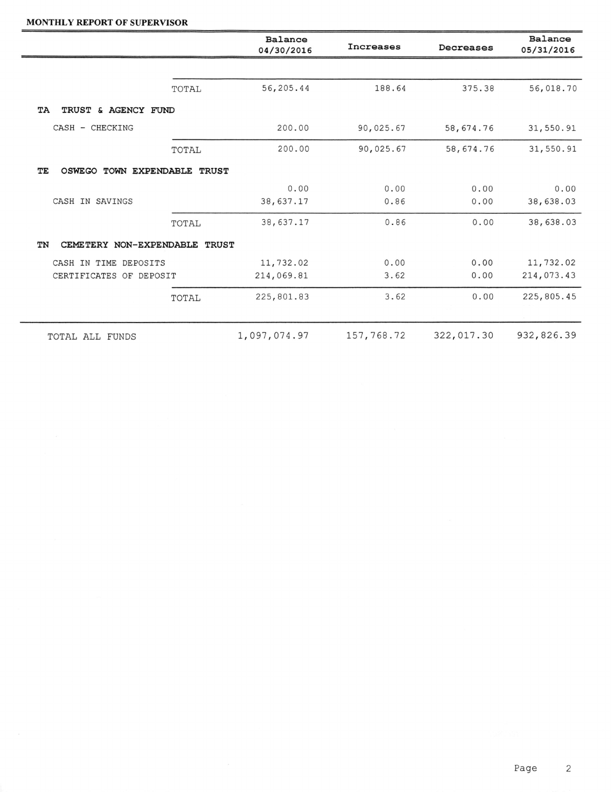## MONTHLY REPORT OF SUPERVISOR

|                                     |       | Balance<br>04/30/2016 | Increases  | Decreases  | Balance<br>05/31/2016 |
|-------------------------------------|-------|-----------------------|------------|------------|-----------------------|
|                                     |       |                       |            |            |                       |
|                                     | TOTAL | 56,205.44             | 188.64     | 375.38     | 56,018.70             |
| TA<br>TRUST & AGENCY FUND           |       |                       |            |            |                       |
| CASH - CHECKING                     |       | 200.00                | 90,025.67  | 58,674.76  | 31,550.91             |
|                                     | TOTAL | 200.00                | 90,025.67  | 58,674.76  | 31,550.91             |
| TE<br>OSWEGO TOWN EXPENDABLE TRUST  |       |                       |            |            |                       |
|                                     |       | 0.00                  | 0.00       | 0.00       | 0.00                  |
| CASH IN SAVINGS                     |       | 38,637.17             | 0.86       | 0.00       | 38,638.03             |
|                                     | TOTAL | 38,637.17             | 0.86       | 0.00       | 38,638.03             |
| TN<br>CEMETERY NON-EXPENDABLE TRUST |       |                       |            |            |                       |
| CASH IN TIME DEPOSITS               |       | 11,732.02             | 0.00       | 0.00       | 11,732.02             |
| CERTIFICATES OF DEPOSIT             |       | 214,069.81            | 3.62       | 0.00       | 214,073.43            |
|                                     | TOTAL | 225,801.83            | 3.62       | 0.00       | 225,805.45            |
| TOTAL ALL FUNDS                     |       | 1,097,074.97          | 157,768.72 | 322,017.30 | 932,826.39            |